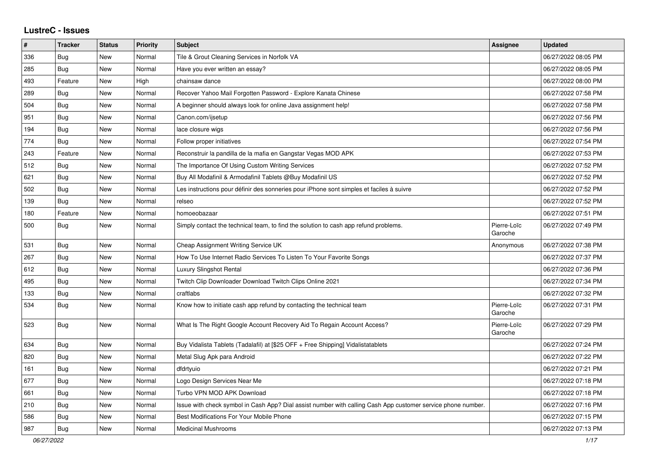## **LustreC - Issues**

| $\pmb{\#}$ | <b>Tracker</b> | <b>Status</b> | <b>Priority</b> | <b>Subject</b>                                                                                               | <b>Assignee</b>        | <b>Updated</b>      |
|------------|----------------|---------------|-----------------|--------------------------------------------------------------------------------------------------------------|------------------------|---------------------|
| 336        | <b>Bug</b>     | New           | Normal          | Tile & Grout Cleaning Services in Norfolk VA                                                                 |                        | 06/27/2022 08:05 PM |
| 285        | Bug            | <b>New</b>    | Normal          | Have you ever written an essay?                                                                              |                        | 06/27/2022 08:05 PM |
| 493        | Feature        | <b>New</b>    | High            | chainsaw dance                                                                                               |                        | 06/27/2022 08:00 PM |
| 289        | <b>Bug</b>     | New           | Normal          | Recover Yahoo Mail Forgotten Password - Explore Kanata Chinese                                               |                        | 06/27/2022 07:58 PM |
| 504        | <b>Bug</b>     | <b>New</b>    | Normal          | A beginner should always look for online Java assignment help!                                               |                        | 06/27/2022 07:58 PM |
| 951        | <b>Bug</b>     | New           | Normal          | Canon.com/ijsetup                                                                                            |                        | 06/27/2022 07:56 PM |
| 194        | <b>Bug</b>     | New           | Normal          | lace closure wigs                                                                                            |                        | 06/27/2022 07:56 PM |
| 774        | <b>Bug</b>     | New           | Normal          | Follow proper initiatives                                                                                    |                        | 06/27/2022 07:54 PM |
| 243        | Feature        | <b>New</b>    | Normal          | Reconstruir la pandilla de la mafia en Gangstar Vegas MOD APK                                                |                        | 06/27/2022 07:53 PM |
| 512        | Bug            | <b>New</b>    | Normal          | The Importance Of Using Custom Writing Services                                                              |                        | 06/27/2022 07:52 PM |
| 621        | <b>Bug</b>     | New           | Normal          | Buy All Modafinil & Armodafinil Tablets @Buy Modafinil US                                                    |                        | 06/27/2022 07:52 PM |
| 502        | <b>Bug</b>     | <b>New</b>    | Normal          | Les instructions pour définir des sonneries pour iPhone sont simples et faciles à suivre                     |                        | 06/27/2022 07:52 PM |
| 139        | <b>Bug</b>     | <b>New</b>    | Normal          | relseo                                                                                                       |                        | 06/27/2022 07:52 PM |
| 180        | Feature        | <b>New</b>    | Normal          | homoeobazaar                                                                                                 |                        | 06/27/2022 07:51 PM |
| 500        | <b>Bug</b>     | New           | Normal          | Simply contact the technical team, to find the solution to cash app refund problems.                         | Pierre-Loïc<br>Garoche | 06/27/2022 07:49 PM |
| 531        | Bug            | <b>New</b>    | Normal          | Cheap Assignment Writing Service UK                                                                          | Anonymous              | 06/27/2022 07:38 PM |
| 267        | <b>Bug</b>     | <b>New</b>    | Normal          | How To Use Internet Radio Services To Listen To Your Favorite Songs                                          |                        | 06/27/2022 07:37 PM |
| 612        | <b>Bug</b>     | New           | Normal          | Luxury Slingshot Rental                                                                                      |                        | 06/27/2022 07:36 PM |
| 495        | <b>Bug</b>     | <b>New</b>    | Normal          | Twitch Clip Downloader Download Twitch Clips Online 2021                                                     |                        | 06/27/2022 07:34 PM |
| 133        | <b>Bug</b>     | New           | Normal          | craftlabs                                                                                                    |                        | 06/27/2022 07:32 PM |
| 534        | Bug            | New           | Normal          | Know how to initiate cash app refund by contacting the technical team                                        | Pierre-Loïc<br>Garoche | 06/27/2022 07:31 PM |
| 523        | <b>Bug</b>     | New           | Normal          | What Is The Right Google Account Recovery Aid To Regain Account Access?                                      | Pierre-Loïc<br>Garoche | 06/27/2022 07:29 PM |
| 634        | Bug            | <b>New</b>    | Normal          | Buy Vidalista Tablets (Tadalafil) at [\$25 OFF + Free Shipping] Vidalistatablets                             |                        | 06/27/2022 07:24 PM |
| 820        | Bug            | New           | Normal          | Metal Slug Apk para Android                                                                                  |                        | 06/27/2022 07:22 PM |
| 161        | <b>Bug</b>     | New           | Normal          | dfdrtyuio                                                                                                    |                        | 06/27/2022 07:21 PM |
| 677        | Bug            | New           | Normal          | Logo Design Services Near Me                                                                                 |                        | 06/27/2022 07:18 PM |
| 661        | <b>Bug</b>     | <b>New</b>    | Normal          | Turbo VPN MOD APK Download                                                                                   |                        | 06/27/2022 07:18 PM |
| 210        | Bug            | <b>New</b>    | Normal          | Issue with check symbol in Cash App? Dial assist number with calling Cash App customer service phone number. |                        | 06/27/2022 07:16 PM |
| 586        | Bug            | <b>New</b>    | Normal          | Best Modifications For Your Mobile Phone                                                                     |                        | 06/27/2022 07:15 PM |
| 987        | Bug            | <b>New</b>    | Normal          | <b>Medicinal Mushrooms</b>                                                                                   |                        | 06/27/2022 07:13 PM |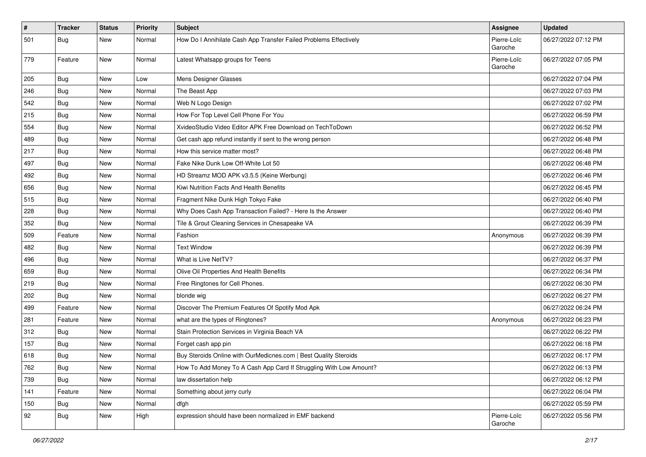| $\vert$ # | <b>Tracker</b> | <b>Status</b> | <b>Priority</b> | <b>Subject</b>                                                     | Assignee               | <b>Updated</b>      |
|-----------|----------------|---------------|-----------------|--------------------------------------------------------------------|------------------------|---------------------|
| 501       | <b>Bug</b>     | New           | Normal          | How Do I Annihilate Cash App Transfer Failed Problems Effectively  | Pierre-Loïc<br>Garoche | 06/27/2022 07:12 PM |
| 779       | Feature        | New           | Normal          | Latest Whatsapp groups for Teens                                   | Pierre-Loïc<br>Garoche | 06/27/2022 07:05 PM |
| 205       | Bug            | New           | Low             | Mens Designer Glasses                                              |                        | 06/27/2022 07:04 PM |
| 246       | Bug            | New           | Normal          | The Beast App                                                      |                        | 06/27/2022 07:03 PM |
| 542       | Bug            | New           | Normal          | Web N Logo Design                                                  |                        | 06/27/2022 07:02 PM |
| 215       | <b>Bug</b>     | New           | Normal          | How For Top Level Cell Phone For You                               |                        | 06/27/2022 06:59 PM |
| 554       | <b>Bug</b>     | New           | Normal          | XvideoStudio Video Editor APK Free Download on TechToDown          |                        | 06/27/2022 06:52 PM |
| 489       | <b>Bug</b>     | New           | Normal          | Get cash app refund instantly if sent to the wrong person          |                        | 06/27/2022 06:48 PM |
| 217       | Bug            | New           | Normal          | How this service matter most?                                      |                        | 06/27/2022 06:48 PM |
| 497       | Bug            | New           | Normal          | Fake Nike Dunk Low Off-White Lot 50                                |                        | 06/27/2022 06:48 PM |
| 492       | Bug            | New           | Normal          | HD Streamz MOD APK v3.5.5 (Keine Werbung)                          |                        | 06/27/2022 06:46 PM |
| 656       | Bug            | New           | Normal          | Kiwi Nutrition Facts And Health Benefits                           |                        | 06/27/2022 06:45 PM |
| 515       | Bug            | <b>New</b>    | Normal          | Fragment Nike Dunk High Tokyo Fake                                 |                        | 06/27/2022 06:40 PM |
| 228       | Bug            | New           | Normal          | Why Does Cash App Transaction Failed? - Here Is the Answer         |                        | 06/27/2022 06:40 PM |
| 352       | <b>Bug</b>     | New           | Normal          | Tile & Grout Cleaning Services in Chesapeake VA                    |                        | 06/27/2022 06:39 PM |
| 509       | Feature        | New           | Normal          | Fashion                                                            | Anonymous              | 06/27/2022 06:39 PM |
| 482       | Bug            | New           | Normal          | <b>Text Window</b>                                                 |                        | 06/27/2022 06:39 PM |
| 496       | Bug            | <b>New</b>    | Normal          | What is Live NetTV?                                                |                        | 06/27/2022 06:37 PM |
| 659       | <b>Bug</b>     | New           | Normal          | Olive Oil Properties And Health Benefits                           |                        | 06/27/2022 06:34 PM |
| 219       | <b>Bug</b>     | New           | Normal          | Free Ringtones for Cell Phones.                                    |                        | 06/27/2022 06:30 PM |
| 202       | Bug            | New           | Normal          | blonde wig                                                         |                        | 06/27/2022 06:27 PM |
| 499       | Feature        | New           | Normal          | Discover The Premium Features Of Spotify Mod Apk                   |                        | 06/27/2022 06:24 PM |
| 281       | Feature        | New           | Normal          | what are the types of Ringtones?                                   | Anonymous              | 06/27/2022 06:23 PM |
| 312       | <b>Bug</b>     | New           | Normal          | Stain Protection Services in Virginia Beach VA                     |                        | 06/27/2022 06:22 PM |
| 157       | <b>Bug</b>     | New           | Normal          | Forget cash app pin                                                |                        | 06/27/2022 06:18 PM |
| 618       | <b>Bug</b>     | New           | Normal          | Buy Steroids Online with OurMedicnes.com   Best Quality Steroids   |                        | 06/27/2022 06:17 PM |
| 762       | Bug            | New           | Normal          | How To Add Money To A Cash App Card If Struggling With Low Amount? |                        | 06/27/2022 06:13 PM |
| 739       | <b>Bug</b>     | New           | Normal          | law dissertation help                                              |                        | 06/27/2022 06:12 PM |
| 141       | Feature        | New           | Normal          | Something about jerry curly                                        |                        | 06/27/2022 06:04 PM |
| 150       | Bug            | New           | Normal          | dfgh                                                               |                        | 06/27/2022 05:59 PM |
| 92        | <b>Bug</b>     | New           | High            | expression should have been normalized in EMF backend              | Pierre-Loïc<br>Garoche | 06/27/2022 05:56 PM |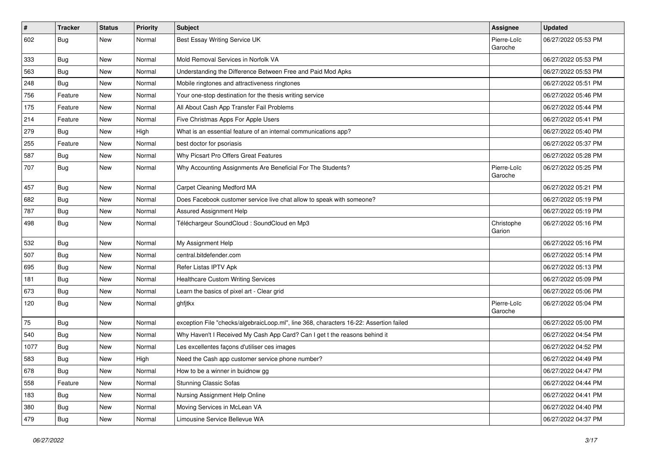| $\vert$ # | <b>Tracker</b> | <b>Status</b> | <b>Priority</b> | <b>Subject</b>                                                                         | <b>Assignee</b>        | <b>Updated</b>      |
|-----------|----------------|---------------|-----------------|----------------------------------------------------------------------------------------|------------------------|---------------------|
| 602       | Bug            | New           | Normal          | Best Essay Writing Service UK                                                          | Pierre-Loïc<br>Garoche | 06/27/2022 05:53 PM |
| 333       | Bug            | New           | Normal          | Mold Removal Services in Norfolk VA                                                    |                        | 06/27/2022 05:53 PM |
| 563       | Bug            | New           | Normal          | Understanding the Difference Between Free and Paid Mod Apks                            |                        | 06/27/2022 05:53 PM |
| 248       | Bug            | New           | Normal          | Mobile ringtones and attractiveness ringtones                                          |                        | 06/27/2022 05:51 PM |
| 756       | Feature        | New           | Normal          | Your one-stop destination for the thesis writing service                               |                        | 06/27/2022 05:46 PM |
| 175       | Feature        | New           | Normal          | All About Cash App Transfer Fail Problems                                              |                        | 06/27/2022 05:44 PM |
| 214       | Feature        | New           | Normal          | Five Christmas Apps For Apple Users                                                    |                        | 06/27/2022 05:41 PM |
| 279       | <b>Bug</b>     | New           | High            | What is an essential feature of an internal communications app?                        |                        | 06/27/2022 05:40 PM |
| 255       | Feature        | New           | Normal          | best doctor for psoriasis                                                              |                        | 06/27/2022 05:37 PM |
| 587       | <b>Bug</b>     | New           | Normal          | Why Picsart Pro Offers Great Features                                                  |                        | 06/27/2022 05:28 PM |
| 707       | <b>Bug</b>     | New           | Normal          | Why Accounting Assignments Are Beneficial For The Students?                            | Pierre-Loïc<br>Garoche | 06/27/2022 05:25 PM |
| 457       | Bug            | New           | Normal          | Carpet Cleaning Medford MA                                                             |                        | 06/27/2022 05:21 PM |
| 682       | <b>Bug</b>     | New           | Normal          | Does Facebook customer service live chat allow to speak with someone?                  |                        | 06/27/2022 05:19 PM |
| 787       | <b>Bug</b>     | New           | Normal          | <b>Assured Assignment Help</b>                                                         |                        | 06/27/2022 05:19 PM |
| 498       | <b>Bug</b>     | New           | Normal          | Téléchargeur SoundCloud : SoundCloud en Mp3                                            | Christophe<br>Garion   | 06/27/2022 05:16 PM |
| 532       | <b>Bug</b>     | New           | Normal          | My Assignment Help                                                                     |                        | 06/27/2022 05:16 PM |
| 507       | Bug            | New           | Normal          | central.bitdefender.com                                                                |                        | 06/27/2022 05:14 PM |
| 695       | Bug            | New           | Normal          | Refer Listas IPTV Apk                                                                  |                        | 06/27/2022 05:13 PM |
| 181       | Bug            | New           | Normal          | <b>Healthcare Custom Writing Services</b>                                              |                        | 06/27/2022 05:09 PM |
| 673       | Bug            | New           | Normal          | Learn the basics of pixel art - Clear grid                                             |                        | 06/27/2022 05:06 PM |
| 120       | Bug            | New           | Normal          | ghfjtkx                                                                                | Pierre-Loïc<br>Garoche | 06/27/2022 05:04 PM |
| 75        | Bug            | New           | Normal          | exception File "checks/algebraicLoop.ml", line 368, characters 16-22: Assertion failed |                        | 06/27/2022 05:00 PM |
| 540       | Bug            | New           | Normal          | Why Haven't I Received My Cash App Card? Can I get t the reasons behind it             |                        | 06/27/2022 04:54 PM |
| 1077      | <b>Bug</b>     | New           | Normal          | Les excellentes façons d'utiliser ces images                                           |                        | 06/27/2022 04:52 PM |
| 583       | Bug            | New           | High            | Need the Cash app customer service phone number?                                       |                        | 06/27/2022 04:49 PM |
| 678       | Bug            | New           | Normal          | How to be a winner in buidnow gg                                                       |                        | 06/27/2022 04:47 PM |
| 558       | Feature        | New           | Normal          | <b>Stunning Classic Sofas</b>                                                          |                        | 06/27/2022 04:44 PM |
| 183       | <b>Bug</b>     | New           | Normal          | Nursing Assignment Help Online                                                         |                        | 06/27/2022 04:41 PM |
| 380       | <b>Bug</b>     | New           | Normal          | Moving Services in McLean VA                                                           |                        | 06/27/2022 04:40 PM |
| 479       | <b>Bug</b>     | New           | Normal          | Limousine Service Bellevue WA                                                          |                        | 06/27/2022 04:37 PM |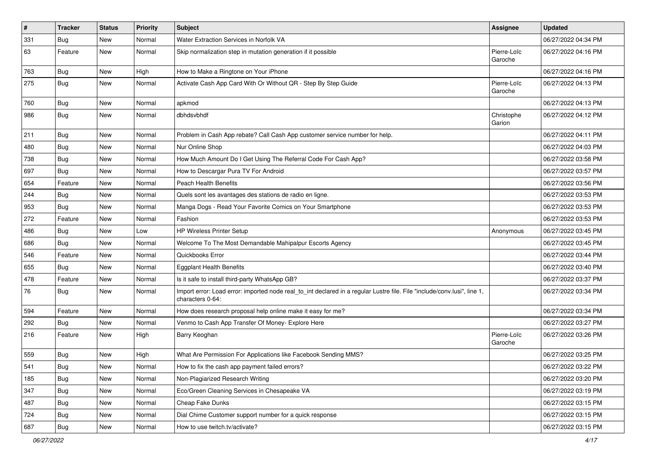| $\pmb{\sharp}$ | <b>Tracker</b> | <b>Status</b> | <b>Priority</b> | <b>Subject</b>                                                                                                                               | Assignee               | <b>Updated</b>      |
|----------------|----------------|---------------|-----------------|----------------------------------------------------------------------------------------------------------------------------------------------|------------------------|---------------------|
| 331            | <b>Bug</b>     | New           | Normal          | Water Extraction Services in Norfolk VA                                                                                                      |                        | 06/27/2022 04:34 PM |
| 63             | Feature        | New           | Normal          | Skip normalization step in mutation generation if it possible                                                                                | Pierre-Loïc<br>Garoche | 06/27/2022 04:16 PM |
| 763            | Bug            | New           | High            | How to Make a Ringtone on Your iPhone                                                                                                        |                        | 06/27/2022 04:16 PM |
| 275            | <b>Bug</b>     | New           | Normal          | Activate Cash App Card With Or Without QR - Step By Step Guide                                                                               | Pierre-Loïc<br>Garoche | 06/27/2022 04:13 PM |
| 760            | Bug            | New           | Normal          | apkmod                                                                                                                                       |                        | 06/27/2022 04:13 PM |
| 986            | <b>Bug</b>     | New           | Normal          | dbhdsvbhdf                                                                                                                                   | Christophe<br>Garion   | 06/27/2022 04:12 PM |
| 211            | Bug            | New           | Normal          | Problem in Cash App rebate? Call Cash App customer service number for help.                                                                  |                        | 06/27/2022 04:11 PM |
| 480            | Bug            | New           | Normal          | Nur Online Shop                                                                                                                              |                        | 06/27/2022 04:03 PM |
| 738            | <b>Bug</b>     | New           | Normal          | How Much Amount Do I Get Using The Referral Code For Cash App?                                                                               |                        | 06/27/2022 03:58 PM |
| 697            | Bug            | New           | Normal          | How to Descargar Pura TV For Android                                                                                                         |                        | 06/27/2022 03:57 PM |
| 654            | Feature        | New           | Normal          | <b>Peach Health Benefits</b>                                                                                                                 |                        | 06/27/2022 03:56 PM |
| 244            | Bug            | New           | Normal          | Quels sont les avantages des stations de radio en ligne.                                                                                     |                        | 06/27/2022 03:53 PM |
| 953            | Bug            | New           | Normal          | Manga Dogs - Read Your Favorite Comics on Your Smartphone                                                                                    |                        | 06/27/2022 03:53 PM |
| 272            | Feature        | New           | Normal          | Fashion                                                                                                                                      |                        | 06/27/2022 03:53 PM |
| 486            | Bug            | New           | Low             | HP Wireless Printer Setup                                                                                                                    | Anonymous              | 06/27/2022 03:45 PM |
| 686            | Bug            | New           | Normal          | Welcome To The Most Demandable Mahipalpur Escorts Agency                                                                                     |                        | 06/27/2022 03:45 PM |
| 546            | Feature        | New           | Normal          | Quickbooks Error                                                                                                                             |                        | 06/27/2022 03:44 PM |
| 655            | Bug            | New           | Normal          | <b>Eggplant Health Benefits</b>                                                                                                              |                        | 06/27/2022 03:40 PM |
| 478            | Feature        | New           | Normal          | Is it safe to install third-party WhatsApp GB?                                                                                               |                        | 06/27/2022 03:37 PM |
| 76             | <b>Bug</b>     | New           | Normal          | Import error: Load error: imported node real_to_int declared in a regular Lustre file. File "include/conv.lusi", line 1,<br>characters 0-64: |                        | 06/27/2022 03:34 PM |
| 594            | Feature        | New           | Normal          | How does research proposal help online make it easy for me?                                                                                  |                        | 06/27/2022 03:34 PM |
| 292            | Bug            | New           | Normal          | Venmo to Cash App Transfer Of Money- Explore Here                                                                                            |                        | 06/27/2022 03:27 PM |
| 216            | Feature        | New           | High            | Barry Keoghan                                                                                                                                | Pierre-Loïc<br>Garoche | 06/27/2022 03:26 PM |
| 559            | <b>Bug</b>     | New           | High            | What Are Permission For Applications like Facebook Sending MMS?                                                                              |                        | 06/27/2022 03:25 PM |
| 541            | Bug            | New           | Normal          | How to fix the cash app payment failed errors?                                                                                               |                        | 06/27/2022 03:22 PM |
| 185            | <b>Bug</b>     | New           | Normal          | Non-Plagiarized Research Writing                                                                                                             |                        | 06/27/2022 03:20 PM |
| 347            | Bug            | New           | Normal          | Eco/Green Cleaning Services in Chesapeake VA                                                                                                 |                        | 06/27/2022 03:19 PM |
| 487            | Bug            | New           | Normal          | Cheap Fake Dunks                                                                                                                             |                        | 06/27/2022 03:15 PM |
| 724            | Bug            | New           | Normal          | Dial Chime Customer support number for a quick response                                                                                      |                        | 06/27/2022 03:15 PM |
| 687            | Bug            | New           | Normal          | How to use twitch.tv/activate?                                                                                                               |                        | 06/27/2022 03:15 PM |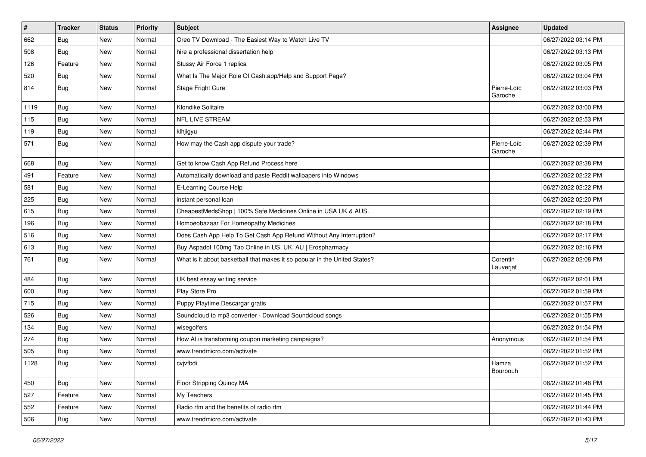| $\vert$ # | <b>Tracker</b> | <b>Status</b> | <b>Priority</b> | Subject                                                                    | <b>Assignee</b>        | <b>Updated</b>      |
|-----------|----------------|---------------|-----------------|----------------------------------------------------------------------------|------------------------|---------------------|
| 662       | Bug            | New           | Normal          | Oreo TV Download - The Easiest Way to Watch Live TV                        |                        | 06/27/2022 03:14 PM |
| 508       | Bug            | New           | Normal          | hire a professional dissertation help                                      |                        | 06/27/2022 03:13 PM |
| 126       | Feature        | New           | Normal          | Stussy Air Force 1 replica                                                 |                        | 06/27/2022 03:05 PM |
| 520       | <b>Bug</b>     | New           | Normal          | What Is The Major Role Of Cash.app/Help and Support Page?                  |                        | 06/27/2022 03:04 PM |
| 814       | Bug            | New           | Normal          | Stage Fright Cure                                                          | Pierre-Loïc<br>Garoche | 06/27/2022 03:03 PM |
| 1119      | <b>Bug</b>     | New           | Normal          | Klondike Solitaire                                                         |                        | 06/27/2022 03:00 PM |
| 115       | Bug            | New           | Normal          | <b>NFL LIVE STREAM</b>                                                     |                        | 06/27/2022 02:53 PM |
| 119       | <b>Bug</b>     | New           | Normal          | klhjigyu                                                                   |                        | 06/27/2022 02:44 PM |
| 571       | Bug            | New           | Normal          | How may the Cash app dispute your trade?                                   | Pierre-Loïc<br>Garoche | 06/27/2022 02:39 PM |
| 668       | Bug            | New           | Normal          | Get to know Cash App Refund Process here                                   |                        | 06/27/2022 02:38 PM |
| 491       | Feature        | New           | Normal          | Automatically download and paste Reddit wallpapers into Windows            |                        | 06/27/2022 02:22 PM |
| 581       | Bug            | New           | Normal          | E-Learning Course Help                                                     |                        | 06/27/2022 02:22 PM |
| 225       | <b>Bug</b>     | New           | Normal          | instant personal loan                                                      |                        | 06/27/2022 02:20 PM |
| 615       | <b>Bug</b>     | New           | Normal          | CheapestMedsShop   100% Safe Medicines Online in USA UK & AUS.             |                        | 06/27/2022 02:19 PM |
| 196       | <b>Bug</b>     | New           | Normal          | Homoeobazaar For Homeopathy Medicines                                      |                        | 06/27/2022 02:18 PM |
| 516       | Bug            | New           | Normal          | Does Cash App Help To Get Cash App Refund Without Any Interruption?        |                        | 06/27/2022 02:17 PM |
| 613       | <b>Bug</b>     | New           | Normal          | Buy Aspadol 100mg Tab Online in US, UK, AU   Erospharmacy                  |                        | 06/27/2022 02:16 PM |
| 761       | <b>Bug</b>     | New           | Normal          | What is it about basketball that makes it so popular in the United States? | Corentin<br>Lauverjat  | 06/27/2022 02:08 PM |
| 484       | Bug            | New           | Normal          | UK best essay writing service                                              |                        | 06/27/2022 02:01 PM |
| 600       | Bug            | New           | Normal          | Play Store Pro                                                             |                        | 06/27/2022 01:59 PM |
| 715       | <b>Bug</b>     | New           | Normal          | Puppy Playtime Descargar gratis                                            |                        | 06/27/2022 01:57 PM |
| 526       | <b>Bug</b>     | New           | Normal          | Soundcloud to mp3 converter - Download Soundcloud songs                    |                        | 06/27/2022 01:55 PM |
| 134       | <b>Bug</b>     | New           | Normal          | wisegolfers                                                                |                        | 06/27/2022 01:54 PM |
| 274       | Bug            | New           | Normal          | How AI is transforming coupon marketing campaigns?                         | Anonymous              | 06/27/2022 01:54 PM |
| 505       | <b>Bug</b>     | New           | Normal          | www.trendmicro.com/activate                                                |                        | 06/27/2022 01:52 PM |
| 1128      | <b>Bug</b>     | New           | Normal          | cvjvfbdi                                                                   | Hamza<br>Bourbouh      | 06/27/2022 01:52 PM |
| 450       | Bug            | New           | Normal          | Floor Stripping Quincy MA                                                  |                        | 06/27/2022 01:48 PM |
| 527       | Feature        | New           | Normal          | My Teachers                                                                |                        | 06/27/2022 01:45 PM |
| 552       | Feature        | New           | Normal          | Radio rfm and the benefits of radio rfm                                    |                        | 06/27/2022 01:44 PM |
| 506       | <b>Bug</b>     | New           | Normal          | www.trendmicro.com/activate                                                |                        | 06/27/2022 01:43 PM |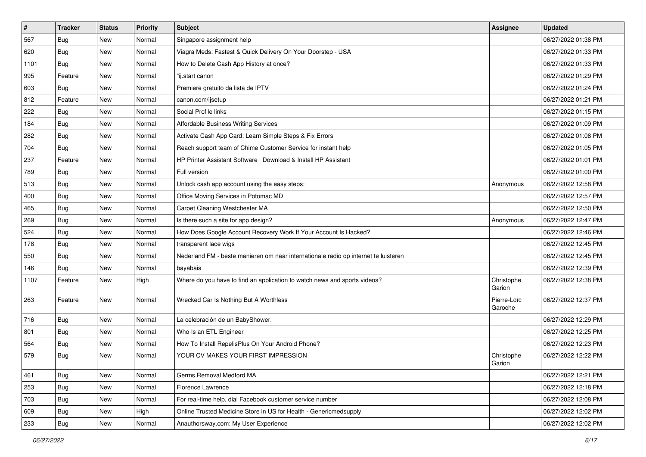| $\vert$ # | <b>Tracker</b> | <b>Status</b> | <b>Priority</b> | Subject                                                                             | Assignee               | <b>Updated</b>      |
|-----------|----------------|---------------|-----------------|-------------------------------------------------------------------------------------|------------------------|---------------------|
| 567       | <b>Bug</b>     | New           | Normal          | Singapore assignment help                                                           |                        | 06/27/2022 01:38 PM |
| 620       | <b>Bug</b>     | New           | Normal          | Viagra Meds: Fastest & Quick Delivery On Your Doorstep - USA                        |                        | 06/27/2022 01:33 PM |
| 1101      | Bug            | New           | Normal          | How to Delete Cash App History at once?                                             |                        | 06/27/2022 01:33 PM |
| 995       | Feature        | New           | Normal          | "ij.start canon                                                                     |                        | 06/27/2022 01:29 PM |
| 603       | <b>Bug</b>     | New           | Normal          | Premiere gratuito da lista de IPTV                                                  |                        | 06/27/2022 01:24 PM |
| 812       | Feature        | New           | Normal          | canon.com/ijsetup                                                                   |                        | 06/27/2022 01:21 PM |
| 222       | <b>Bug</b>     | New           | Normal          | Social Profile links                                                                |                        | 06/27/2022 01:15 PM |
| 184       | <b>Bug</b>     | New           | Normal          | <b>Affordable Business Writing Services</b>                                         |                        | 06/27/2022 01:09 PM |
| 282       | <b>Bug</b>     | New           | Normal          | Activate Cash App Card: Learn Simple Steps & Fix Errors                             |                        | 06/27/2022 01:08 PM |
| 704       | <b>Bug</b>     | New           | Normal          | Reach support team of Chime Customer Service for instant help                       |                        | 06/27/2022 01:05 PM |
| 237       | Feature        | New           | Normal          | HP Printer Assistant Software   Download & Install HP Assistant                     |                        | 06/27/2022 01:01 PM |
| 789       | Bug            | New           | Normal          | Full version                                                                        |                        | 06/27/2022 01:00 PM |
| 513       | <b>Bug</b>     | <b>New</b>    | Normal          | Unlock cash app account using the easy steps:                                       | Anonymous              | 06/27/2022 12:58 PM |
| 400       | Bug            | New           | Normal          | Office Moving Services in Potomac MD                                                |                        | 06/27/2022 12:57 PM |
| 465       | Bug            | New           | Normal          | Carpet Cleaning Westchester MA                                                      |                        | 06/27/2022 12:50 PM |
| 269       | <b>Bug</b>     | New           | Normal          | Is there such a site for app design?                                                | Anonymous              | 06/27/2022 12:47 PM |
| 524       | <b>Bug</b>     | New           | Normal          | How Does Google Account Recovery Work If Your Account Is Hacked?                    |                        | 06/27/2022 12:46 PM |
| 178       | Bug            | New           | Normal          | transparent lace wigs                                                               |                        | 06/27/2022 12:45 PM |
| 550       | Bug            | New           | Normal          | Nederland FM - beste manieren om naar internationale radio op internet te luisteren |                        | 06/27/2022 12:45 PM |
| 146       | <b>Bug</b>     | New           | Normal          | bayabais                                                                            |                        | 06/27/2022 12:39 PM |
| 1107      | Feature        | New           | High            | Where do you have to find an application to watch news and sports videos?           | Christophe<br>Garion   | 06/27/2022 12:38 PM |
| 263       | Feature        | New           | Normal          | Wrecked Car Is Nothing But A Worthless                                              | Pierre-Loïc<br>Garoche | 06/27/2022 12:37 PM |
| 716       | Bug            | New           | Normal          | La celebración de un BabyShower.                                                    |                        | 06/27/2022 12:29 PM |
| 801       | Bug            | New           | Normal          | Who Is an ETL Engineer                                                              |                        | 06/27/2022 12:25 PM |
| 564       | <b>Bug</b>     | New           | Normal          | How To Install RepelisPlus On Your Android Phone?                                   |                        | 06/27/2022 12:23 PM |
| 579       | <b>Bug</b>     | New           | Normal          | YOUR CV MAKES YOUR FIRST IMPRESSION                                                 | Christophe<br>Garion   | 06/27/2022 12:22 PM |
| 461       | <b>Bug</b>     | New           | Normal          | Germs Removal Medford MA                                                            |                        | 06/27/2022 12:21 PM |
| 253       | <b>Bug</b>     | New           | Normal          | Florence Lawrence                                                                   |                        | 06/27/2022 12:18 PM |
| 703       | <b>Bug</b>     | New           | Normal          | For real-time help, dial Facebook customer service number                           |                        | 06/27/2022 12:08 PM |
| 609       | <b>Bug</b>     | New           | High            | Online Trusted Medicine Store in US for Health - Genericmedsupply                   |                        | 06/27/2022 12:02 PM |
| 233       | <b>Bug</b>     | New           | Normal          | Anauthorsway.com: My User Experience                                                |                        | 06/27/2022 12:02 PM |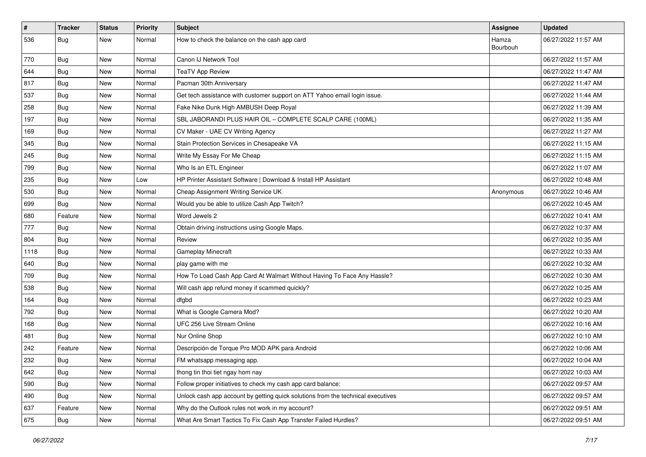| $\#$ | <b>Tracker</b> | <b>Status</b> | <b>Priority</b> | <b>Subject</b>                                                                   | <b>Assignee</b>   | <b>Updated</b>      |
|------|----------------|---------------|-----------------|----------------------------------------------------------------------------------|-------------------|---------------------|
| 536  | <b>Bug</b>     | New           | Normal          | How to check the balance on the cash app card                                    | Hamza<br>Bourbouh | 06/27/2022 11:57 AM |
| 770  | <b>Bug</b>     | New           | Normal          | Canon IJ Network Tool                                                            |                   | 06/27/2022 11:57 AM |
| 644  | Bug            | New           | Normal          | <b>TeaTV App Review</b>                                                          |                   | 06/27/2022 11:47 AM |
| 817  | Bug            | New           | Normal          | Pacman 30th Anniversary                                                          |                   | 06/27/2022 11:47 AM |
| 537  | Bug            | New           | Normal          | Get tech assistance with customer support on ATT Yahoo email login issue.        |                   | 06/27/2022 11:44 AM |
| 258  | Bug            | New           | Normal          | Fake Nike Dunk High AMBUSH Deep Royal                                            |                   | 06/27/2022 11:39 AM |
| 197  | Bug            | New           | Normal          | SBL JABORANDI PLUS HAIR OIL - COMPLETE SCALP CARE (100ML)                        |                   | 06/27/2022 11:35 AM |
| 169  | <b>Bug</b>     | New           | Normal          | CV Maker - UAE CV Writing Agency                                                 |                   | 06/27/2022 11:27 AM |
| 345  | <b>Bug</b>     | New           | Normal          | Stain Protection Services in Chesapeake VA                                       |                   | 06/27/2022 11:15 AM |
| 245  | Bug            | New           | Normal          | Write My Essay For Me Cheap                                                      |                   | 06/27/2022 11:15 AM |
| 799  | Bug            | New           | Normal          | Who Is an ETL Engineer                                                           |                   | 06/27/2022 11:07 AM |
| 235  | Bug            | New           | Low             | HP Printer Assistant Software   Download & Install HP Assistant                  |                   | 06/27/2022 10:48 AM |
| 530  | <b>Bug</b>     | New           | Normal          | Cheap Assignment Writing Service UK                                              | Anonymous         | 06/27/2022 10:46 AM |
| 699  | Bug            | New           | Normal          | Would you be able to utilize Cash App Twitch?                                    |                   | 06/27/2022 10:45 AM |
| 680  | Feature        | New           | Normal          | Word Jewels 2                                                                    |                   | 06/27/2022 10:41 AM |
| 777  | <b>Bug</b>     | New           | Normal          | Obtain driving instructions using Google Maps.                                   |                   | 06/27/2022 10:37 AM |
| 804  | Bug            | New           | Normal          | Review                                                                           |                   | 06/27/2022 10:35 AM |
| 1118 | Bug            | New           | Normal          | <b>Gameplay Minecraft</b>                                                        |                   | 06/27/2022 10:33 AM |
| 640  | Bug            | New           | Normal          | play game with me                                                                |                   | 06/27/2022 10:32 AM |
| 709  | Bug            | New           | Normal          | How To Load Cash App Card At Walmart Without Having To Face Any Hassle?          |                   | 06/27/2022 10:30 AM |
| 538  | <b>Bug</b>     | New           | Normal          | Will cash app refund money if scammed quickly?                                   |                   | 06/27/2022 10:25 AM |
| 164  | Bug            | New           | Normal          | dfgbd                                                                            |                   | 06/27/2022 10:23 AM |
| 792  | Bug            | New           | Normal          | What is Google Camera Mod?                                                       |                   | 06/27/2022 10:20 AM |
| 168  | <b>Bug</b>     | New           | Normal          | UFC 256 Live Stream Online                                                       |                   | 06/27/2022 10:16 AM |
| 481  | Bug            | New           | Normal          | Nur Online Shop                                                                  |                   | 06/27/2022 10:10 AM |
| 242  | Feature        | New           | Normal          | Descripción de Torque Pro MOD APK para Android                                   |                   | 06/27/2022 10:06 AM |
| 232  | <b>Bug</b>     | New           | Normal          | FM whatsapp messaging app.                                                       |                   | 06/27/2022 10:04 AM |
| 642  | <b>Bug</b>     | New           | Normal          | thong tin thoi tiet ngay hom nay                                                 |                   | 06/27/2022 10:03 AM |
| 590  | Bug            | New           | Normal          | Follow proper initiatives to check my cash app card balance:                     |                   | 06/27/2022 09:57 AM |
| 490  | <b>Bug</b>     | New           | Normal          | Unlock cash app account by getting quick solutions from the technical executives |                   | 06/27/2022 09:57 AM |
| 637  | Feature        | New           | Normal          | Why do the Outlook rules not work in my account?                                 |                   | 06/27/2022 09:51 AM |
| 675  | <b>Bug</b>     | New           | Normal          | What Are Smart Tactics To Fix Cash App Transfer Failed Hurdles?                  |                   | 06/27/2022 09:51 AM |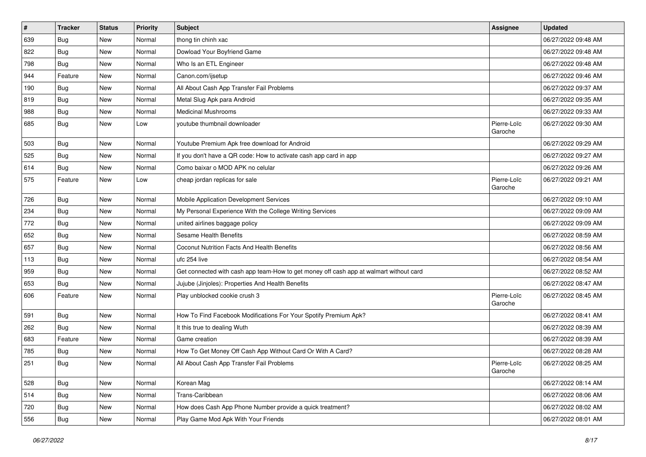| $\vert$ # | <b>Tracker</b> | <b>Status</b> | <b>Priority</b> | Subject                                                                                | <b>Assignee</b>        | <b>Updated</b>      |
|-----------|----------------|---------------|-----------------|----------------------------------------------------------------------------------------|------------------------|---------------------|
| 639       | <b>Bug</b>     | New           | Normal          | thong tin chinh xac                                                                    |                        | 06/27/2022 09:48 AM |
| 822       | <b>Bug</b>     | New           | Normal          | Dowload Your Boyfriend Game                                                            |                        | 06/27/2022 09:48 AM |
| 798       | <b>Bug</b>     | New           | Normal          | Who Is an ETL Engineer                                                                 |                        | 06/27/2022 09:48 AM |
| 944       | Feature        | New           | Normal          | Canon.com/ijsetup                                                                      |                        | 06/27/2022 09:46 AM |
| 190       | Bug            | New           | Normal          | All About Cash App Transfer Fail Problems                                              |                        | 06/27/2022 09:37 AM |
| 819       | <b>Bug</b>     | New           | Normal          | Metal Slug Apk para Android                                                            |                        | 06/27/2022 09:35 AM |
| 988       | <b>Bug</b>     | New           | Normal          | <b>Medicinal Mushrooms</b>                                                             |                        | 06/27/2022 09:33 AM |
| 685       | <b>Bug</b>     | New           | Low             | youtube thumbnail downloader                                                           | Pierre-Loïc<br>Garoche | 06/27/2022 09:30 AM |
| 503       | Bug            | New           | Normal          | Youtube Premium Apk free download for Android                                          |                        | 06/27/2022 09:29 AM |
| 525       | Bug            | New           | Normal          | If you don't have a QR code: How to activate cash app card in app                      |                        | 06/27/2022 09:27 AM |
| 614       | <b>Bug</b>     | New           | Normal          | Como baixar o MOD APK no celular                                                       |                        | 06/27/2022 09:26 AM |
| 575       | Feature        | New           | Low             | cheap jordan replicas for sale                                                         | Pierre-Loïc<br>Garoche | 06/27/2022 09:21 AM |
| 726       | Bug            | New           | Normal          | Mobile Application Development Services                                                |                        | 06/27/2022 09:10 AM |
| 234       | <b>Bug</b>     | New           | Normal          | My Personal Experience With the College Writing Services                               |                        | 06/27/2022 09:09 AM |
| 772       | <b>Bug</b>     | New           | Normal          | united airlines baggage policy                                                         |                        | 06/27/2022 09:09 AM |
| 652       | Bug            | New           | Normal          | Sesame Health Benefits                                                                 |                        | 06/27/2022 08:59 AM |
| 657       | <b>Bug</b>     | New           | Normal          | Coconut Nutrition Facts And Health Benefits                                            |                        | 06/27/2022 08:56 AM |
| 113       | <b>Bug</b>     | New           | Normal          | ufc 254 live                                                                           |                        | 06/27/2022 08:54 AM |
| 959       | Bug            | New           | Normal          | Get connected with cash app team-How to get money off cash app at walmart without card |                        | 06/27/2022 08:52 AM |
| 653       | <b>Bug</b>     | New           | Normal          | Jujube (Jinjoles): Properties And Health Benefits                                      |                        | 06/27/2022 08:47 AM |
| 606       | Feature        | New           | Normal          | Play unblocked cookie crush 3                                                          | Pierre-Loïc<br>Garoche | 06/27/2022 08:45 AM |
| 591       | <b>Bug</b>     | New           | Normal          | How To Find Facebook Modifications For Your Spotify Premium Apk?                       |                        | 06/27/2022 08:41 AM |
| 262       | Bug            | New           | Normal          | It this true to dealing Wuth                                                           |                        | 06/27/2022 08:39 AM |
| 683       | Feature        | New           | Normal          | Game creation                                                                          |                        | 06/27/2022 08:39 AM |
| 785       | <b>Bug</b>     | New           | Normal          | How To Get Money Off Cash App Without Card Or With A Card?                             |                        | 06/27/2022 08:28 AM |
| 251       | Bug            | New           | Normal          | All About Cash App Transfer Fail Problems                                              | Pierre-Loïc<br>Garoche | 06/27/2022 08:25 AM |
| 528       | Bug            | New           | Normal          | Korean Mag                                                                             |                        | 06/27/2022 08:14 AM |
| 514       | <b>Bug</b>     | New           | Normal          | Trans-Caribbean                                                                        |                        | 06/27/2022 08:06 AM |
| 720       | <b>Bug</b>     | New           | Normal          | How does Cash App Phone Number provide a quick treatment?                              |                        | 06/27/2022 08:02 AM |
| 556       | <b>Bug</b>     | New           | Normal          | Play Game Mod Apk With Your Friends                                                    |                        | 06/27/2022 08:01 AM |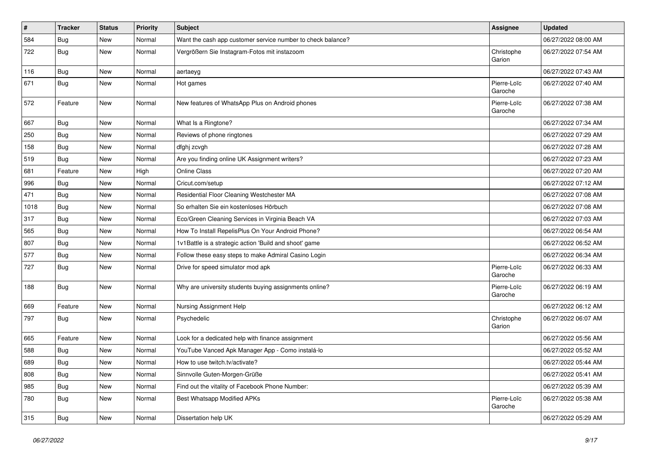| $\vert$ # | <b>Tracker</b> | <b>Status</b> | <b>Priority</b> | Subject                                                     | <b>Assignee</b>        | <b>Updated</b>      |
|-----------|----------------|---------------|-----------------|-------------------------------------------------------------|------------------------|---------------------|
| 584       | <b>Bug</b>     | New           | Normal          | Want the cash app customer service number to check balance? |                        | 06/27/2022 08:00 AM |
| 722       | Bug            | New           | Normal          | Vergrößern Sie Instagram-Fotos mit instazoom                | Christophe<br>Garion   | 06/27/2022 07:54 AM |
| 116       | <b>Bug</b>     | New           | Normal          | aertaeyg                                                    |                        | 06/27/2022 07:43 AM |
| 671       | Bug            | New           | Normal          | Hot games                                                   | Pierre-Loïc<br>Garoche | 06/27/2022 07:40 AM |
| 572       | Feature        | New           | Normal          | New features of WhatsApp Plus on Android phones             | Pierre-Loïc<br>Garoche | 06/27/2022 07:38 AM |
| 667       | <b>Bug</b>     | New           | Normal          | What Is a Ringtone?                                         |                        | 06/27/2022 07:34 AM |
| 250       | <b>Bug</b>     | New           | Normal          | Reviews of phone ringtones                                  |                        | 06/27/2022 07:29 AM |
| 158       | <b>Bug</b>     | New           | Normal          | dfghj zcvgh                                                 |                        | 06/27/2022 07:28 AM |
| 519       | <b>Bug</b>     | New           | Normal          | Are you finding online UK Assignment writers?               |                        | 06/27/2022 07:23 AM |
| 681       | Feature        | New           | High            | <b>Online Class</b>                                         |                        | 06/27/2022 07:20 AM |
| 996       | <b>Bug</b>     | New           | Normal          | Cricut.com/setup                                            |                        | 06/27/2022 07:12 AM |
| 471       | <b>Bug</b>     | New           | Normal          | Residential Floor Cleaning Westchester MA                   |                        | 06/27/2022 07:08 AM |
| 1018      | <b>Bug</b>     | New           | Normal          | So erhalten Sie ein kostenloses Hörbuch                     |                        | 06/27/2022 07:08 AM |
| 317       | <b>Bug</b>     | New           | Normal          | Eco/Green Cleaning Services in Virginia Beach VA            |                        | 06/27/2022 07:03 AM |
| 565       | <b>Bug</b>     | New           | Normal          | How To Install RepelisPlus On Your Android Phone?           |                        | 06/27/2022 06:54 AM |
| 807       | <b>Bug</b>     | New           | Normal          | 1v1Battle is a strategic action 'Build and shoot' game      |                        | 06/27/2022 06:52 AM |
| 577       | Bug            | New           | Normal          | Follow these easy steps to make Admiral Casino Login        |                        | 06/27/2022 06:34 AM |
| 727       | Bug            | New           | Normal          | Drive for speed simulator mod apk                           | Pierre-Loïc<br>Garoche | 06/27/2022 06:33 AM |
| 188       | <b>Bug</b>     | New           | Normal          | Why are university students buying assignments online?      | Pierre-Loïc<br>Garoche | 06/27/2022 06:19 AM |
| 669       | Feature        | New           | Normal          | Nursing Assignment Help                                     |                        | 06/27/2022 06:12 AM |
| 797       | Bug            | New           | Normal          | Psychedelic                                                 | Christophe<br>Garion   | 06/27/2022 06:07 AM |
| 665       | Feature        | New           | Normal          | Look for a dedicated help with finance assignment           |                        | 06/27/2022 05:56 AM |
| 588       | <b>Bug</b>     | New           | Normal          | YouTube Vanced Apk Manager App - Como instalá-lo            |                        | 06/27/2022 05:52 AM |
| 689       | <b>Bug</b>     | New           | Normal          | How to use twitch.tv/activate?                              |                        | 06/27/2022 05:44 AM |
| 808       | <b>Bug</b>     | New           | Normal          | Sinnvolle Guten-Morgen-Grüße                                |                        | 06/27/2022 05:41 AM |
| 985       | Bug            | New           | Normal          | Find out the vitality of Facebook Phone Number:             |                        | 06/27/2022 05:39 AM |
| 780       | <b>Bug</b>     | New           | Normal          | Best Whatsapp Modified APKs                                 | Pierre-Loïc<br>Garoche | 06/27/2022 05:38 AM |
| 315       | <b>Bug</b>     | New           | Normal          | Dissertation help UK                                        |                        | 06/27/2022 05:29 AM |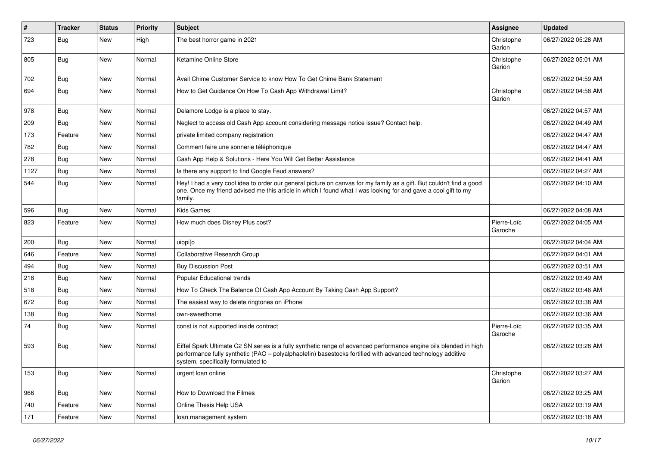| $\vert$ # | <b>Tracker</b> | <b>Status</b> | <b>Priority</b> | <b>Subject</b>                                                                                                                                                                                                                                                        | Assignee               | <b>Updated</b>      |
|-----------|----------------|---------------|-----------------|-----------------------------------------------------------------------------------------------------------------------------------------------------------------------------------------------------------------------------------------------------------------------|------------------------|---------------------|
| 723       | Bug            | New           | High            | The best horror game in 2021                                                                                                                                                                                                                                          | Christophe<br>Garion   | 06/27/2022 05:28 AM |
| 805       | Bug            | New           | Normal          | Ketamine Online Store                                                                                                                                                                                                                                                 | Christophe<br>Garion   | 06/27/2022 05:01 AM |
| 702       | <b>Bug</b>     | <b>New</b>    | Normal          | Avail Chime Customer Service to know How To Get Chime Bank Statement                                                                                                                                                                                                  |                        | 06/27/2022 04:59 AM |
| 694       | <b>Bug</b>     | New           | Normal          | How to Get Guidance On How To Cash App Withdrawal Limit?                                                                                                                                                                                                              | Christophe<br>Garion   | 06/27/2022 04:58 AM |
| 978       | Bug            | New           | Normal          | Delamore Lodge is a place to stay.                                                                                                                                                                                                                                    |                        | 06/27/2022 04:57 AM |
| 209       | Bug            | New           | Normal          | Neglect to access old Cash App account considering message notice issue? Contact help.                                                                                                                                                                                |                        | 06/27/2022 04:49 AM |
| 173       | Feature        | New           | Normal          | private limited company registration                                                                                                                                                                                                                                  |                        | 06/27/2022 04:47 AM |
| 782       | <b>Bug</b>     | <b>New</b>    | Normal          | Comment faire une sonnerie téléphonique                                                                                                                                                                                                                               |                        | 06/27/2022 04:47 AM |
| 278       | <b>Bug</b>     | New           | Normal          | Cash App Help & Solutions - Here You Will Get Better Assistance                                                                                                                                                                                                       |                        | 06/27/2022 04:41 AM |
| 1127      | Bug            | New           | Normal          | Is there any support to find Google Feud answers?                                                                                                                                                                                                                     |                        | 06/27/2022 04:27 AM |
| 544       | Bug            | New           | Normal          | Hey! I had a very cool idea to order our general picture on canvas for my family as a gift. But couldn't find a good<br>one. Once my friend advised me this article in which I found what I was looking for and gave a cool gift to my<br>family.                     |                        | 06/27/2022 04:10 AM |
| 596       | Bug            | New           | Normal          | <b>Kids Games</b>                                                                                                                                                                                                                                                     |                        | 06/27/2022 04:08 AM |
| 823       | Feature        | New           | Normal          | How much does Disney Plus cost?                                                                                                                                                                                                                                       | Pierre-Loïc<br>Garoche | 06/27/2022 04:05 AM |
| 200       | Bug            | New           | Normal          | uiopilo                                                                                                                                                                                                                                                               |                        | 06/27/2022 04:04 AM |
| 646       | Feature        | New           | Normal          | <b>Collaborative Research Group</b>                                                                                                                                                                                                                                   |                        | 06/27/2022 04:01 AM |
| 494       | <b>Bug</b>     | New           | Normal          | <b>Buy Discussion Post</b>                                                                                                                                                                                                                                            |                        | 06/27/2022 03:51 AM |
| 218       | <b>Bug</b>     | New           | Normal          | <b>Popular Educational trends</b>                                                                                                                                                                                                                                     |                        | 06/27/2022 03:49 AM |
| 518       | Bug            | New           | Normal          | How To Check The Balance Of Cash App Account By Taking Cash App Support?                                                                                                                                                                                              |                        | 06/27/2022 03:46 AM |
| 672       | <b>Bug</b>     | New           | Normal          | The easiest way to delete ringtones on iPhone                                                                                                                                                                                                                         |                        | 06/27/2022 03:38 AM |
| 138       | <b>Bug</b>     | <b>New</b>    | Normal          | own-sweethome                                                                                                                                                                                                                                                         |                        | 06/27/2022 03:36 AM |
| 74        | <b>Bug</b>     | New           | Normal          | const is not supported inside contract                                                                                                                                                                                                                                | Pierre-Loïc<br>Garoche | 06/27/2022 03:35 AM |
| 593       | Bug            | <b>New</b>    | Normal          | Eiffel Spark Ultimate C2 SN series is a fully synthetic range of advanced performance engine oils blended in high<br>performance fully synthetic (PAO – polyalphaolefin) basestocks fortified with advanced technology additive<br>system, specifically formulated to |                        | 06/27/2022 03:28 AM |
| 153       | Bug            | New           | Normal          | urgent loan online                                                                                                                                                                                                                                                    | Christophe<br>Garion   | 06/27/2022 03:27 AM |
| 966       | <b>Bug</b>     | <b>New</b>    | Normal          | How to Download the Filmes                                                                                                                                                                                                                                            |                        | 06/27/2022 03:25 AM |
| 740       | Feature        | New           | Normal          | Online Thesis Help USA                                                                                                                                                                                                                                                |                        | 06/27/2022 03:19 AM |
| 171       | Feature        | <b>New</b>    | Normal          | loan management system                                                                                                                                                                                                                                                |                        | 06/27/2022 03:18 AM |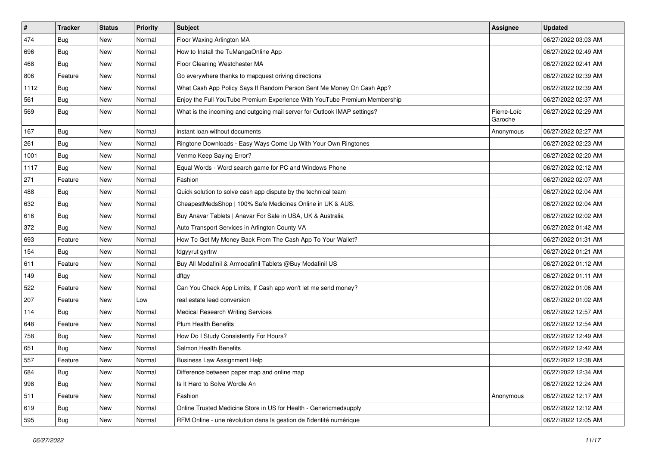| $\sharp$ | <b>Tracker</b> | <b>Status</b> | <b>Priority</b> | Subject                                                                   | <b>Assignee</b>        | <b>Updated</b>      |
|----------|----------------|---------------|-----------------|---------------------------------------------------------------------------|------------------------|---------------------|
| 474      | <b>Bug</b>     | New           | Normal          | Floor Waxing Arlington MA                                                 |                        | 06/27/2022 03:03 AM |
| 696      | <b>Bug</b>     | New           | Normal          | How to Install the TuMangaOnline App                                      |                        | 06/27/2022 02:49 AM |
| 468      | Bug            | New           | Normal          | Floor Cleaning Westchester MA                                             |                        | 06/27/2022 02:41 AM |
| 806      | Feature        | New           | Normal          | Go everywhere thanks to mapquest driving directions                       |                        | 06/27/2022 02:39 AM |
| 1112     | Bug            | New           | Normal          | What Cash App Policy Says If Random Person Sent Me Money On Cash App?     |                        | 06/27/2022 02:39 AM |
| 561      | <b>Bug</b>     | New           | Normal          | Enjoy the Full YouTube Premium Experience With YouTube Premium Membership |                        | 06/27/2022 02:37 AM |
| 569      | <b>Bug</b>     | New           | Normal          | What is the incoming and outgoing mail server for Outlook IMAP settings?  | Pierre-Loïc<br>Garoche | 06/27/2022 02:29 AM |
| 167      | Bug            | New           | Normal          | instant loan without documents                                            | Anonymous              | 06/27/2022 02:27 AM |
| 261      | Bug            | New           | Normal          | Ringtone Downloads - Easy Ways Come Up With Your Own Ringtones            |                        | 06/27/2022 02:23 AM |
| 1001     | <b>Bug</b>     | New           | Normal          | Venmo Keep Saying Error?                                                  |                        | 06/27/2022 02:20 AM |
| 1117     | <b>Bug</b>     | New           | Normal          | Equal Words - Word search game for PC and Windows Phone                   |                        | 06/27/2022 02:12 AM |
| 271      | Feature        | New           | Normal          | Fashion                                                                   |                        | 06/27/2022 02:07 AM |
| 488      | Bug            | New           | Normal          | Quick solution to solve cash app dispute by the technical team            |                        | 06/27/2022 02:04 AM |
| 632      | <b>Bug</b>     | New           | Normal          | CheapestMedsShop   100% Safe Medicines Online in UK & AUS.                |                        | 06/27/2022 02:04 AM |
| 616      | Bug            | New           | Normal          | Buy Anavar Tablets   Anavar For Sale in USA, UK & Australia               |                        | 06/27/2022 02:02 AM |
| 372      | Bug            | New           | Normal          | Auto Transport Services in Arlington County VA                            |                        | 06/27/2022 01:42 AM |
| 693      | Feature        | New           | Normal          | How To Get My Money Back From The Cash App To Your Wallet?                |                        | 06/27/2022 01:31 AM |
| 154      | <b>Bug</b>     | New           | Normal          | fdgyyrut gyrtrw                                                           |                        | 06/27/2022 01:21 AM |
| 611      | Feature        | New           | Normal          | Buy All Modafinil & Armodafinil Tablets @Buy Modafinil US                 |                        | 06/27/2022 01:12 AM |
| 149      | Bug            | New           | Normal          | dftgy                                                                     |                        | 06/27/2022 01:11 AM |
| 522      | Feature        | New           | Normal          | Can You Check App Limits, If Cash app won't let me send money?            |                        | 06/27/2022 01:06 AM |
| 207      | Feature        | New           | Low             | real estate lead conversion                                               |                        | 06/27/2022 01:02 AM |
| 114      | <b>Bug</b>     | New           | Normal          | <b>Medical Research Writing Services</b>                                  |                        | 06/27/2022 12:57 AM |
| 648      | Feature        | New           | Normal          | <b>Plum Health Benefits</b>                                               |                        | 06/27/2022 12:54 AM |
| 758      | <b>Bug</b>     | New           | Normal          | How Do I Study Consistently For Hours?                                    |                        | 06/27/2022 12:49 AM |
| 651      | <b>Bug</b>     | New           | Normal          | Salmon Health Benefits                                                    |                        | 06/27/2022 12:42 AM |
| 557      | Feature        | New           | Normal          | <b>Business Law Assignment Help</b>                                       |                        | 06/27/2022 12:38 AM |
| 684      | Bug            | New           | Normal          | Difference between paper map and online map                               |                        | 06/27/2022 12:34 AM |
| 998      | Bug            | New           | Normal          | Is It Hard to Solve Wordle An                                             |                        | 06/27/2022 12:24 AM |
| 511      | Feature        | New           | Normal          | Fashion                                                                   | Anonymous              | 06/27/2022 12:17 AM |
| 619      | <b>Bug</b>     | New           | Normal          | Online Trusted Medicine Store in US for Health - Genericmedsupply         |                        | 06/27/2022 12:12 AM |
| 595      | <b>Bug</b>     | New           | Normal          | RFM Online - une révolution dans la gestion de l'identité numérique       |                        | 06/27/2022 12:05 AM |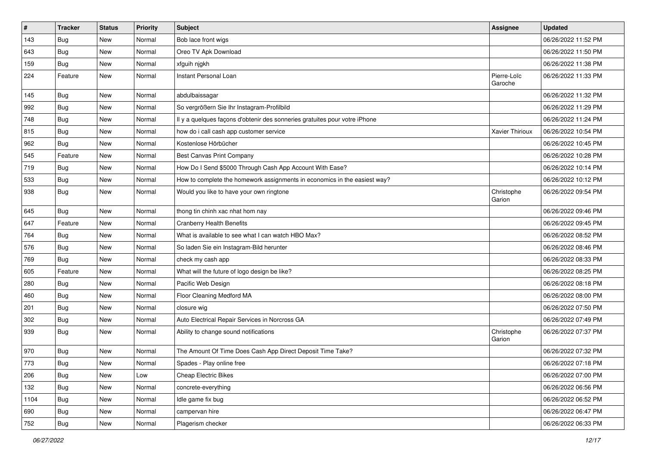| $\vert$ # | <b>Tracker</b> | <b>Status</b> | <b>Priority</b> | Subject                                                                    | <b>Assignee</b>        | <b>Updated</b>      |
|-----------|----------------|---------------|-----------------|----------------------------------------------------------------------------|------------------------|---------------------|
| 143       | Bug            | New           | Normal          | Bob lace front wigs                                                        |                        | 06/26/2022 11:52 PM |
| 643       | Bug            | New           | Normal          | Oreo TV Apk Download                                                       |                        | 06/26/2022 11:50 PM |
| 159       | <b>Bug</b>     | New           | Normal          | xfguih njgkh                                                               |                        | 06/26/2022 11:38 PM |
| 224       | Feature        | New           | Normal          | Instant Personal Loan                                                      | Pierre-Loïc<br>Garoche | 06/26/2022 11:33 PM |
| 145       | <b>Bug</b>     | New           | Normal          | abdulbaissagar                                                             |                        | 06/26/2022 11:32 PM |
| 992       | Bug            | New           | Normal          | So vergrößern Sie Ihr Instagram-Profilbild                                 |                        | 06/26/2022 11:29 PM |
| 748       | <b>Bug</b>     | New           | Normal          | Il y a quelques façons d'obtenir des sonneries gratuites pour votre iPhone |                        | 06/26/2022 11:24 PM |
| 815       | <b>Bug</b>     | New           | Normal          | how do i call cash app customer service                                    | Xavier Thirioux        | 06/26/2022 10:54 PM |
| 962       | <b>Bug</b>     | New           | Normal          | Kostenlose Hörbücher                                                       |                        | 06/26/2022 10:45 PM |
| 545       | Feature        | New           | Normal          | Best Canvas Print Company                                                  |                        | 06/26/2022 10:28 PM |
| 719       | <b>Bug</b>     | New           | Normal          | How Do I Send \$5000 Through Cash App Account With Ease?                   |                        | 06/26/2022 10:14 PM |
| 533       | Bug            | New           | Normal          | How to complete the homework assignments in economics in the easiest way?  |                        | 06/26/2022 10:12 PM |
| 938       | Bug            | New           | Normal          | Would you like to have your own ringtone                                   | Christophe<br>Garion   | 06/26/2022 09:54 PM |
| 645       | <b>Bug</b>     | New           | Normal          | thong tin chinh xac nhat hom nay                                           |                        | 06/26/2022 09:46 PM |
| 647       | Feature        | New           | Normal          | <b>Cranberry Health Benefits</b>                                           |                        | 06/26/2022 09:45 PM |
| 764       | Bug            | New           | Normal          | What is available to see what I can watch HBO Max?                         |                        | 06/26/2022 08:52 PM |
| 576       | <b>Bug</b>     | New           | Normal          | So laden Sie ein Instagram-Bild herunter                                   |                        | 06/26/2022 08:46 PM |
| 769       | Bug            | New           | Normal          | check my cash app                                                          |                        | 06/26/2022 08:33 PM |
| 605       | Feature        | New           | Normal          | What will the future of logo design be like?                               |                        | 06/26/2022 08:25 PM |
| 280       | <b>Bug</b>     | New           | Normal          | Pacific Web Design                                                         |                        | 06/26/2022 08:18 PM |
| 460       | <b>Bug</b>     | New           | Normal          | Floor Cleaning Medford MA                                                  |                        | 06/26/2022 08:00 PM |
| 201       | <b>Bug</b>     | New           | Normal          | closure wig                                                                |                        | 06/26/2022 07:50 PM |
| 302       | <b>Bug</b>     | New           | Normal          | Auto Electrical Repair Services in Norcross GA                             |                        | 06/26/2022 07:49 PM |
| 939       | Bug            | New           | Normal          | Ability to change sound notifications                                      | Christophe<br>Garion   | 06/26/2022 07:37 PM |
| 970       | <b>Bug</b>     | New           | Normal          | The Amount Of Time Does Cash App Direct Deposit Time Take?                 |                        | 06/26/2022 07:32 PM |
| 773       | Bug            | New           | Normal          | Spades - Play online free                                                  |                        | 06/26/2022 07:18 PM |
| 206       | Bug            | New           | Low             | <b>Cheap Electric Bikes</b>                                                |                        | 06/26/2022 07:00 PM |
| 132       | Bug            | New           | Normal          | concrete-everything                                                        |                        | 06/26/2022 06:56 PM |
| 1104      | <b>Bug</b>     | New           | Normal          | Idle game fix bug                                                          |                        | 06/26/2022 06:52 PM |
| 690       | <b>Bug</b>     | New           | Normal          | campervan hire                                                             |                        | 06/26/2022 06:47 PM |
| 752       | Bug            | New           | Normal          | Plagerism checker                                                          |                        | 06/26/2022 06:33 PM |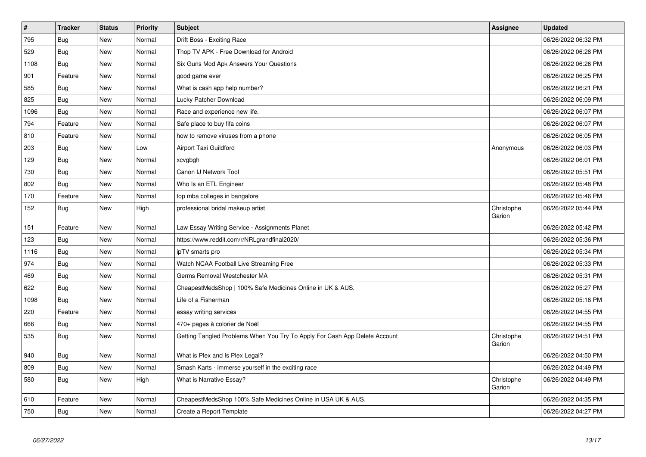| $\vert$ # | <b>Tracker</b> | <b>Status</b> | <b>Priority</b> | <b>Subject</b>                                                             | Assignee             | <b>Updated</b>      |
|-----------|----------------|---------------|-----------------|----------------------------------------------------------------------------|----------------------|---------------------|
| 795       | Bug            | New           | Normal          | Drift Boss - Exciting Race                                                 |                      | 06/26/2022 06:32 PM |
| 529       | Bug            | New           | Normal          | Thop TV APK - Free Download for Android                                    |                      | 06/26/2022 06:28 PM |
| 1108      | Bug            | <b>New</b>    | Normal          | Six Guns Mod Apk Answers Your Questions                                    |                      | 06/26/2022 06:26 PM |
| 901       | Feature        | New           | Normal          | good game ever                                                             |                      | 06/26/2022 06:25 PM |
| 585       | <b>Bug</b>     | New           | Normal          | What is cash app help number?                                              |                      | 06/26/2022 06:21 PM |
| 825       | Bug            | New           | Normal          | Lucky Patcher Download                                                     |                      | 06/26/2022 06:09 PM |
| 1096      | <b>Bug</b>     | New           | Normal          | Race and experience new life.                                              |                      | 06/26/2022 06:07 PM |
| 794       | Feature        | New           | Normal          | Safe place to buy fifa coins                                               |                      | 06/26/2022 06:07 PM |
| 810       | Feature        | New           | Normal          | how to remove viruses from a phone                                         |                      | 06/26/2022 06:05 PM |
| 203       | <b>Bug</b>     | New           | Low             | <b>Airport Taxi Guildford</b>                                              | Anonymous            | 06/26/2022 06:03 PM |
| 129       | <b>Bug</b>     | New           | Normal          | xcvgbgh                                                                    |                      | 06/26/2022 06:01 PM |
| 730       | Bug            | New           | Normal          | Canon IJ Network Tool                                                      |                      | 06/26/2022 05:51 PM |
| 802       | <b>Bug</b>     | New           | Normal          | Who Is an ETL Engineer                                                     |                      | 06/26/2022 05:48 PM |
| 170       | Feature        | New           | Normal          | top mba colleges in bangalore                                              |                      | 06/26/2022 05:46 PM |
| 152       | <b>Bug</b>     | New           | High            | professional bridal makeup artist                                          | Christophe<br>Garion | 06/26/2022 05:44 PM |
| 151       | Feature        | New           | Normal          | Law Essay Writing Service - Assignments Planet                             |                      | 06/26/2022 05:42 PM |
| 123       | Bug            | New           | Normal          | https://www.reddit.com/r/NRLgrandfinal2020/                                |                      | 06/26/2022 05:36 PM |
| 1116      | <b>Bug</b>     | New           | Normal          | ipTV smarts pro                                                            |                      | 06/26/2022 05:34 PM |
| 974       | Bug            | New           | Normal          | Watch NCAA Football Live Streaming Free                                    |                      | 06/26/2022 05:33 PM |
| 469       | Bug            | New           | Normal          | Germs Removal Westchester MA                                               |                      | 06/26/2022 05:31 PM |
| 622       | <b>Bug</b>     | New           | Normal          | CheapestMedsShop   100% Safe Medicines Online in UK & AUS.                 |                      | 06/26/2022 05:27 PM |
| 1098      | Bug            | New           | Normal          | Life of a Fisherman                                                        |                      | 06/26/2022 05:16 PM |
| 220       | Feature        | New           | Normal          | essay writing services                                                     |                      | 06/26/2022 04:55 PM |
| 666       | <b>Bug</b>     | New           | Normal          | 470+ pages à colorier de Noël                                              |                      | 06/26/2022 04:55 PM |
| 535       | Bug            | New           | Normal          | Getting Tangled Problems When You Try To Apply For Cash App Delete Account | Christophe<br>Garion | 06/26/2022 04:51 PM |
| 940       | <b>Bug</b>     | New           | Normal          | What is Plex and Is Plex Legal?                                            |                      | 06/26/2022 04:50 PM |
| 809       | <b>Bug</b>     | New           | Normal          | Smash Karts - immerse yourself in the exciting race                        |                      | 06/26/2022 04:49 PM |
| 580       | <b>Bug</b>     | <b>New</b>    | High            | What is Narrative Essay?                                                   | Christophe<br>Garion | 06/26/2022 04:49 PM |
| 610       | Feature        | New           | Normal          | CheapestMedsShop 100% Safe Medicines Online in USA UK & AUS.               |                      | 06/26/2022 04:35 PM |
| 750       | Bug            | New           | Normal          | Create a Report Template                                                   |                      | 06/26/2022 04:27 PM |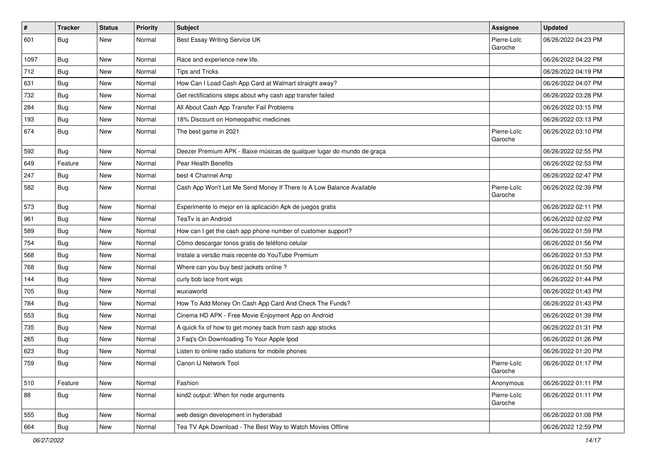| $\pmb{\sharp}$ | <b>Tracker</b> | <b>Status</b> | <b>Priority</b> | Subject                                                                | <b>Assignee</b>        | <b>Updated</b>      |
|----------------|----------------|---------------|-----------------|------------------------------------------------------------------------|------------------------|---------------------|
| 601            | <b>Bug</b>     | New           | Normal          | Best Essay Writing Service UK                                          | Pierre-Loïc<br>Garoche | 06/26/2022 04:23 PM |
| 1097           | Bug            | New           | Normal          | Race and experience new life.                                          |                        | 06/26/2022 04:22 PM |
| 712            | Bug            | New           | Normal          | <b>Tips and Tricks</b>                                                 |                        | 06/26/2022 04:19 PM |
| 631            | Bug            | New           | Normal          | How Can I Load Cash App Card at Walmart straight away?                 |                        | 06/26/2022 04:07 PM |
| 732            | <b>Bug</b>     | New           | Normal          | Get rectifications steps about why cash app transfer failed            |                        | 06/26/2022 03:28 PM |
| 284            | <b>Bug</b>     | New           | Normal          | All About Cash App Transfer Fail Problems                              |                        | 06/26/2022 03:15 PM |
| 193            | Bug            | New           | Normal          | 18% Discount on Homeopathic medicines                                  |                        | 06/26/2022 03:13 PM |
| 674            | <b>Bug</b>     | New           | Normal          | The best game in 2021                                                  | Pierre-Loïc<br>Garoche | 06/26/2022 03:10 PM |
| 592            | <b>Bug</b>     | New           | Normal          | Deezer Premium APK - Baixe músicas de qualquer lugar do mundo de graça |                        | 06/26/2022 02:55 PM |
| 649            | Feature        | <b>New</b>    | Normal          | Pear Health Benefits                                                   |                        | 06/26/2022 02:53 PM |
| 247            | Bug            | New           | Normal          | best 4 Channel Amp                                                     |                        | 06/26/2022 02:47 PM |
| 582            | <b>Bug</b>     | New           | Normal          | Cash App Won't Let Me Send Money If There Is A Low Balance Available   | Pierre-Loïc<br>Garoche | 06/26/2022 02:39 PM |
| 573            | Bug            | New           | Normal          | Experimente lo mejor en la aplicación Apk de juegos gratis             |                        | 06/26/2022 02:11 PM |
| 961            | Bug            | New           | Normal          | TeaTv is an Android                                                    |                        | 06/26/2022 02:02 PM |
| 589            | Bug            | <b>New</b>    | Normal          | How can I get the cash app phone number of customer support?           |                        | 06/26/2022 01:59 PM |
| 754            | <b>Bug</b>     | New           | Normal          | Cómo descargar tonos gratis de teléfono celular                        |                        | 06/26/2022 01:56 PM |
| 568            | Bug            | New           | Normal          | Instale a versão mais recente do YouTube Premium                       |                        | 06/26/2022 01:53 PM |
| 768            | Bug            | New           | Normal          | Where can you buy best jackets online?                                 |                        | 06/26/2022 01:50 PM |
| 144            | <b>Bug</b>     | New           | Normal          | curly bob lace front wigs                                              |                        | 06/26/2022 01:44 PM |
| 705            | Bug            | <b>New</b>    | Normal          | wuxiaworld                                                             |                        | 06/26/2022 01:43 PM |
| 784            | <b>Bug</b>     | New           | Normal          | How To Add Money On Cash App Card And Check The Funds?                 |                        | 06/26/2022 01:43 PM |
| 553            | <b>Bug</b>     | New           | Normal          | Cinema HD APK - Free Movie Enjoyment App on Android                    |                        | 06/26/2022 01:39 PM |
| 735            | <b>Bug</b>     | New           | Normal          | A quick fix of how to get money back from cash app stocks              |                        | 06/26/2022 01:31 PM |
| 265            | Bug            | New           | Normal          | 3 Faq's On Downloading To Your Apple Ipod                              |                        | 06/26/2022 01:26 PM |
| 623            | <b>Bug</b>     | New           | Normal          | Listen to online radio stations for mobile phones                      |                        | 06/26/2022 01:20 PM |
| 759            | Bug            | New           | Normal          | Canon IJ Network Tool                                                  | Pierre-Loïc<br>Garoche | 06/26/2022 01:17 PM |
| 510            | Feature        | New           | Normal          | Fashion                                                                | Anonymous              | 06/26/2022 01:11 PM |
| 88             | <b>Bug</b>     | New           | Normal          | kind2 output: When for node arguments                                  | Pierre-Loïc<br>Garoche | 06/26/2022 01:11 PM |
| 555            | <b>Bug</b>     | New           | Normal          | web design development in hyderabad                                    |                        | 06/26/2022 01:08 PM |
| 664            | Bug            | New           | Normal          | Tea TV Apk Download - The Best Way to Watch Movies Offline             |                        | 06/26/2022 12:59 PM |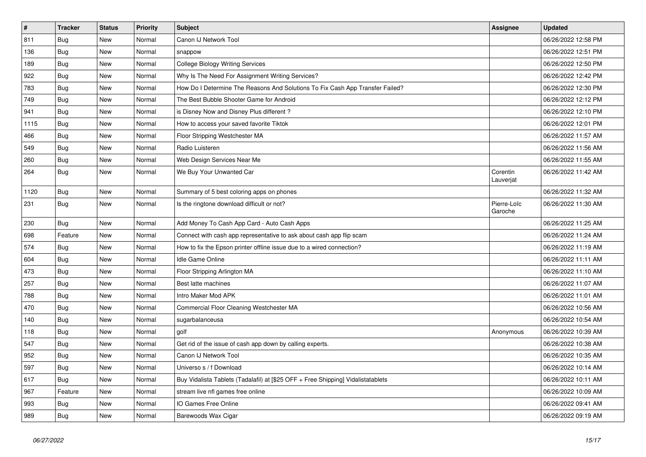| $\vert$ # | <b>Tracker</b> | <b>Status</b> | <b>Priority</b> | <b>Subject</b>                                                                   | Assignee               | <b>Updated</b>      |
|-----------|----------------|---------------|-----------------|----------------------------------------------------------------------------------|------------------------|---------------------|
| 811       | <b>Bug</b>     | <b>New</b>    | Normal          | Canon IJ Network Tool                                                            |                        | 06/26/2022 12:58 PM |
| 136       | <b>Bug</b>     | New           | Normal          | snappow                                                                          |                        | 06/26/2022 12:51 PM |
| 189       | Bug            | New           | Normal          | <b>College Biology Writing Services</b>                                          |                        | 06/26/2022 12:50 PM |
| 922       | <b>Bug</b>     | New           | Normal          | Why Is The Need For Assignment Writing Services?                                 |                        | 06/26/2022 12:42 PM |
| 783       | <b>Bug</b>     | <b>New</b>    | Normal          | How Do I Determine The Reasons And Solutions To Fix Cash App Transfer Failed?    |                        | 06/26/2022 12:30 PM |
| 749       | <b>Bug</b>     | <b>New</b>    | Normal          | The Best Bubble Shooter Game for Android                                         |                        | 06/26/2022 12:12 PM |
| 941       | <b>Bug</b>     | <b>New</b>    | Normal          | is Disney Now and Disney Plus different?                                         |                        | 06/26/2022 12:10 PM |
| 1115      | Bug            | New           | Normal          | How to access your saved favorite Tiktok                                         |                        | 06/26/2022 12:01 PM |
| 466       | <b>Bug</b>     | New           | Normal          | Floor Stripping Westchester MA                                                   |                        | 06/26/2022 11:57 AM |
| 549       | <b>Bug</b>     | New           | Normal          | Radio Luisteren                                                                  |                        | 06/26/2022 11:56 AM |
| 260       | <b>Bug</b>     | <b>New</b>    | Normal          | Web Design Services Near Me                                                      |                        | 06/26/2022 11:55 AM |
| 264       | Bug            | New           | Normal          | We Buy Your Unwanted Car                                                         | Corentin<br>Lauverjat  | 06/26/2022 11:42 AM |
| 1120      | Bug            | New           | Normal          | Summary of 5 best coloring apps on phones                                        |                        | 06/26/2022 11:32 AM |
| 231       | <b>Bug</b>     | New           | Normal          | Is the ringtone download difficult or not?                                       | Pierre-Loïc<br>Garoche | 06/26/2022 11:30 AM |
| 230       | Bug            | New           | Normal          | Add Money To Cash App Card - Auto Cash Apps                                      |                        | 06/26/2022 11:25 AM |
| 698       | Feature        | New           | Normal          | Connect with cash app representative to ask about cash app flip scam             |                        | 06/26/2022 11:24 AM |
| 574       | Bug            | New           | Normal          | How to fix the Epson printer offline issue due to a wired connection?            |                        | 06/26/2022 11:19 AM |
| 604       | <b>Bug</b>     | New           | Normal          | <b>Idle Game Online</b>                                                          |                        | 06/26/2022 11:11 AM |
| 473       | <b>Bug</b>     | New           | Normal          | Floor Stripping Arlington MA                                                     |                        | 06/26/2022 11:10 AM |
| 257       | Bug            | New           | Normal          | Best latte machines                                                              |                        | 06/26/2022 11:07 AM |
| 788       | Bug            | New           | Normal          | Intro Maker Mod APK                                                              |                        | 06/26/2022 11:01 AM |
| 470       | <b>Bug</b>     | New           | Normal          | Commercial Floor Cleaning Westchester MA                                         |                        | 06/26/2022 10:56 AM |
| 140       | <b>Bug</b>     | New           | Normal          | sugarbalanceusa                                                                  |                        | 06/26/2022 10:54 AM |
| 118       | <b>Bug</b>     | New           | Normal          | golf                                                                             | Anonymous              | 06/26/2022 10:39 AM |
| 547       | Bug            | New           | Normal          | Get rid of the issue of cash app down by calling experts.                        |                        | 06/26/2022 10:38 AM |
| 952       | Bug            | New           | Normal          | Canon IJ Network Tool                                                            |                        | 06/26/2022 10:35 AM |
| 597       | Bug            | New           | Normal          | Universo s / f Download                                                          |                        | 06/26/2022 10:14 AM |
| 617       | <b>Bug</b>     | New           | Normal          | Buy Vidalista Tablets (Tadalafil) at [\$25 OFF + Free Shipping] Vidalistatablets |                        | 06/26/2022 10:11 AM |
| 967       | Feature        | New           | Normal          | stream live nfl games free online                                                |                        | 06/26/2022 10:09 AM |
| 993       | <b>Bug</b>     | New           | Normal          | IO Games Free Online                                                             |                        | 06/26/2022 09:41 AM |
| 989       | Bug            | New           | Normal          | Barewoods Wax Cigar                                                              |                        | 06/26/2022 09:19 AM |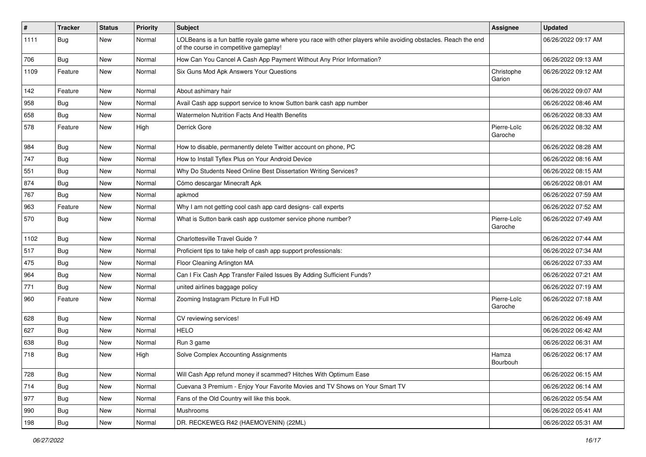| $\vert$ # | <b>Tracker</b> | <b>Status</b> | <b>Priority</b> | <b>Subject</b>                                                                                                                                           | <b>Assignee</b>        | <b>Updated</b>      |
|-----------|----------------|---------------|-----------------|----------------------------------------------------------------------------------------------------------------------------------------------------------|------------------------|---------------------|
| 1111      | <b>Bug</b>     | New           | Normal          | LOLBeans is a fun battle royale game where you race with other players while avoiding obstacles. Reach the end<br>of the course in competitive gameplay! |                        | 06/26/2022 09:17 AM |
| 706       | Bug            | New           | Normal          | How Can You Cancel A Cash App Payment Without Any Prior Information?                                                                                     |                        | 06/26/2022 09:13 AM |
| 1109      | Feature        | New           | Normal          | Six Guns Mod Apk Answers Your Questions                                                                                                                  | Christophe<br>Garion   | 06/26/2022 09:12 AM |
| 142       | Feature        | New           | Normal          | About ashimary hair                                                                                                                                      |                        | 06/26/2022 09:07 AM |
| 958       | <b>Bug</b>     | New           | Normal          | Avail Cash app support service to know Sutton bank cash app number                                                                                       |                        | 06/26/2022 08:46 AM |
| 658       | Bug            | New           | Normal          | Watermelon Nutrition Facts And Health Benefits                                                                                                           |                        | 06/26/2022 08:33 AM |
| 578       | Feature        | New           | High            | Derrick Gore                                                                                                                                             | Pierre-Loïc<br>Garoche | 06/26/2022 08:32 AM |
| 984       | Bug            | New           | Normal          | How to disable, permanently delete Twitter account on phone, PC                                                                                          |                        | 06/26/2022 08:28 AM |
| 747       | <b>Bug</b>     | New           | Normal          | How to Install Tyflex Plus on Your Android Device                                                                                                        |                        | 06/26/2022 08:16 AM |
| 551       | Bug            | New           | Normal          | Why Do Students Need Online Best Dissertation Writing Services?                                                                                          |                        | 06/26/2022 08:15 AM |
| 874       | <b>Bug</b>     | New           | Normal          | Cómo descargar Minecraft Apk                                                                                                                             |                        | 06/26/2022 08:01 AM |
| 767       | <b>Bug</b>     | New           | Normal          | apkmod                                                                                                                                                   |                        | 06/26/2022 07:59 AM |
| 963       | Feature        | New           | Normal          | Why I am not getting cool cash app card designs- call experts                                                                                            |                        | 06/26/2022 07:52 AM |
| 570       | Bug            | New           | Normal          | What is Sutton bank cash app customer service phone number?                                                                                              | Pierre-Loïc<br>Garoche | 06/26/2022 07:49 AM |
| 1102      | Bug            | New           | Normal          | Charlottesville Travel Guide?                                                                                                                            |                        | 06/26/2022 07:44 AM |
| 517       | Bug            | New           | Normal          | Proficient tips to take help of cash app support professionals:                                                                                          |                        | 06/26/2022 07:34 AM |
| 475       | Bug            | New           | Normal          | Floor Cleaning Arlington MA                                                                                                                              |                        | 06/26/2022 07:33 AM |
| 964       | <b>Bug</b>     | New           | Normal          | Can I Fix Cash App Transfer Failed Issues By Adding Sufficient Funds?                                                                                    |                        | 06/26/2022 07:21 AM |
| 771       | <b>Bug</b>     | New           | Normal          | united airlines baggage policy                                                                                                                           |                        | 06/26/2022 07:19 AM |
| 960       | Feature        | New           | Normal          | Zooming Instagram Picture In Full HD                                                                                                                     | Pierre-Loïc<br>Garoche | 06/26/2022 07:18 AM |
| 628       | Bug            | New           | Normal          | CV reviewing services!                                                                                                                                   |                        | 06/26/2022 06:49 AM |
| 627       | Bug            | New           | Normal          | <b>HELO</b>                                                                                                                                              |                        | 06/26/2022 06:42 AM |
| 638       | <b>Bug</b>     | New           | Normal          | Run 3 game                                                                                                                                               |                        | 06/26/2022 06:31 AM |
| 718       | Bug            | New           | High            | Solve Complex Accounting Assignments                                                                                                                     | Hamza<br>Bourbouh      | 06/26/2022 06:17 AM |
| 728       | Bug            | New           | Normal          | Will Cash App refund money if scammed? Hitches With Optimum Ease                                                                                         |                        | 06/26/2022 06:15 AM |
| 714       | <b>Bug</b>     | New           | Normal          | Cuevana 3 Premium - Enjoy Your Favorite Movies and TV Shows on Your Smart TV                                                                             |                        | 06/26/2022 06:14 AM |
| 977       | Bug            | New           | Normal          | Fans of the Old Country will like this book.                                                                                                             |                        | 06/26/2022 05:54 AM |
| 990       | <b>Bug</b>     | New           | Normal          | Mushrooms                                                                                                                                                |                        | 06/26/2022 05:41 AM |
| 198       | <b>Bug</b>     | New           | Normal          | DR. RECKEWEG R42 (HAEMOVENIN) (22ML)                                                                                                                     |                        | 06/26/2022 05:31 AM |